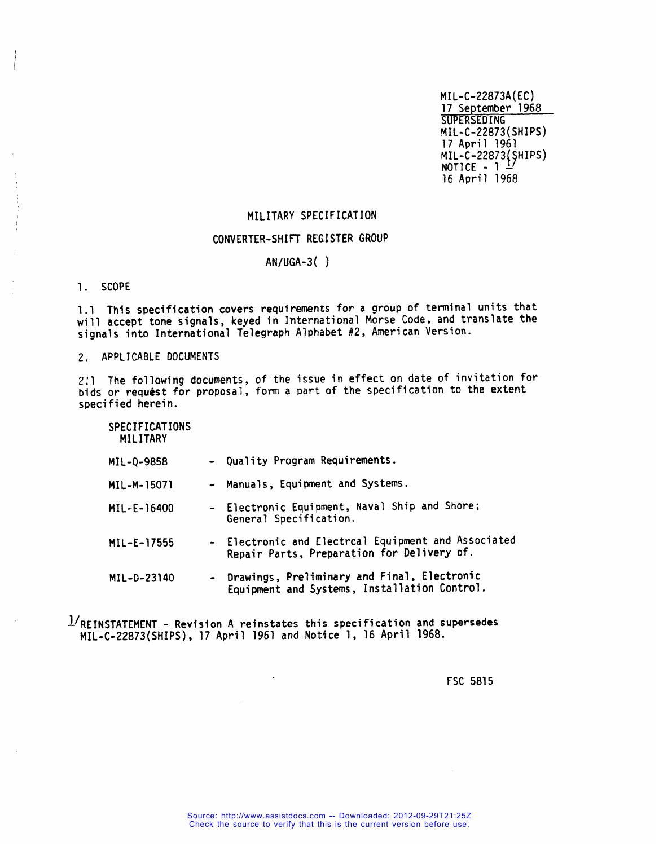**MIL-C-22873A(EC) 17 September 1968 SUPERSEDING PIIL-C-22873(SHIPS) 17 April 1961 {7 MIL-C-22873 HIPS) NOTICE - 1 – 16 April 1968**

# **MILITARY SPECIFICATION**

## **CONVERTER-SHIH REGISTER GROUP**

## **AN/uGA-3( )**

1. **SCOPE**

**1.1 This specification covers requirements for a group of terminal units that will accept tone signals, keyed in International Morse Code, and translate the signals into International Telegraph Alphabet #2, American Version.**

**2. APPLICABLE DOCUMENTS**

**2:1 The following documents, of the issue in effect on date of invitation for bids or request for proposal, form a part of the specification to the extent specified herein.**

**SPECIFICATIONS MILITARY**

| MIL-Q-9858 |  |  |  | Quality Program Requirements. |
|------------|--|--|--|-------------------------------|
|------------|--|--|--|-------------------------------|

- **MIL-M-15071 - Manuals, Equipment and Systems.**
- **MIL-E-16400 - Electronic Equipment, Naval Ship and Shore; General Specification.**
- **MIL-E-17555 - Electronic and Electrcal Equipment and Associated Repair Parts, Preparation for Delivery of.**
- **MXL-D-23140 - Drawings, Preliminary and Final, Electronic Equipment and Systems, Installation Control.**

**~/REINSTATEMENT - Revision A reinstates this specification and supersedes MIL-C-22873(SHIPS), 17 April 1961 and Not6ce 1, 16 April 1968.**

**FSC 5815**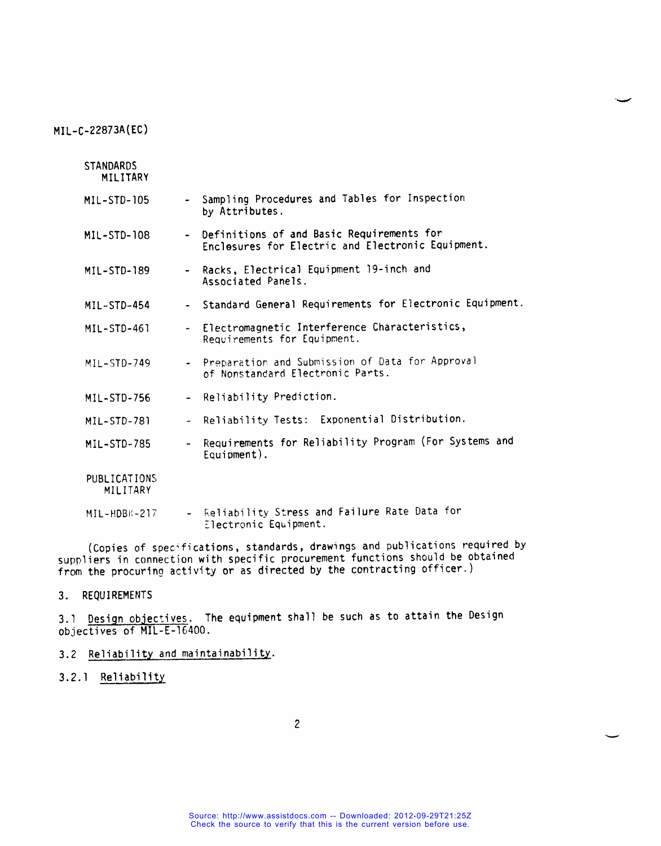| <b>STANDARDS</b><br>MILITARY |                          |                                                                                                  |
|------------------------------|--------------------------|--------------------------------------------------------------------------------------------------|
| MIL-STD-105                  |                          | Sampling Procedures and Tables for Inspection<br>by Attributes.                                  |
| $MIL-STD-108$                |                          | - Definitions of and Basic Requirements for<br>Enclosures for Electric and Electronic Equipment. |
| MIL-STD-189                  |                          | - Racks, Electrical Equipment 19-inch and<br>Associated Panels.                                  |
| MIL-STD-454                  |                          | - Standard General Requirements for Electronic Equipment.                                        |
| MIL-STD-461                  |                          | Electromagnetic Interference Characteristics,<br>Requirements for Equipment.                     |
| MIL-STD-749                  |                          | - Preparation and Submission of Data for Approval<br>of Nonstandard Electronic Parts.            |
| MIL-STD-756                  |                          | - Reliability Prediction.                                                                        |
| MIL-STD-781                  |                          | - Reliability Tests: Exponential Distribution.                                                   |
| MIL-STD-785                  | $\overline{\phantom{0}}$ | Requirements for Reliability Program (For Systems and<br>$Equipment$ .                           |
| PUBLICATIONS<br>MILITARY     |                          |                                                                                                  |
| MIL-HDBK-217                 |                          | Reliability Stress and Failure Rate Data for<br>Electronic Equipment.                            |

**(Copies of specifications, standards, drawings and publications required by suppliers in connection with specific procurement functions should be obtained from the procuring activity or as directed by the contracting officer.)**

**3. REQUIREMENTS**

**3.1 Desiqn objectives. The equipment shall be such as to attain the Design objectives of MIL-E-16400.**

- **3.2 Reliability and maintainability.**
- **3.2.1 Reliability**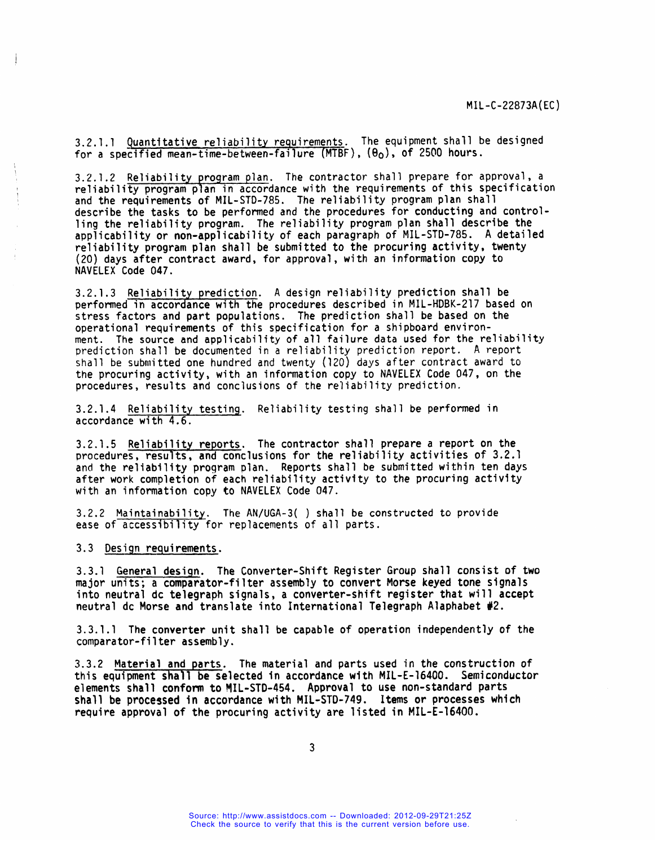**W-C-22873A(EC)**

**3.2.1.1 Quantitative reliability requirements. The equipment shall be designed for a specified mean-time-between-failure (MTBF), (eo), of 25@0 hours.**

**3.2.1.2 Reliability proqram plan. The contractor shall prepare for approval, a reliability program plan in accordance with the requirements of this specification and the requirements of MIL-STD-785. The reliability program plan shall describe the tasks to be performed and the procedures for conducting and controlling the reliability program. The reliability program plan shall describe the applicability or non-applicability of each paragraph of MIL-STD-785. A detailed reliability program plan shall be submitted to the procuring activity, twenty (20) days after contract award, for approval, with an information copy to NAVELEX Code 047.**

**3.2.1.3 Reliability precfictione A design reliability prediction shall be performed in accordance with the procedures described in MIL-HDBK-217 based on stress factors and part populations. The prediction shall be based on the operational requirements of this specification for a shipboard environment. The source and applicability of all failure data used for the reliability prediction shall be documented in a reliability prediction report. A report shall be submitted one hundred and twenty (120) days after contract award to the procuring activity, with an information copy to NAVELEX Code 047, on the procedures, results and conclusions of the reliability prediction.**

**3.2.1.4 Reliability testing. Reliability testing shall be performed in accordance with 4.6.**

**3.2.1.5 Reliability reports. The contractor shall prepare a report on the procedures, results, and conclusions for the reliability activities of 3.2.1 and the reliability program ~lan. Reports shall be submitted within ten days after work completion of each reliability activity to the procuring activity with an information copy to NAVELEX Code 047.**

**3.2.2 Maintainability. The AN/UGA-3( ] shall be constructed** to **provide ease of accessibility for replacements of all parts.**

**3.3 Design requirements.**

 $\mathbf{I}$ 

**3.3.1 General desiqn. The Converter-Shift Register Group shall consist of two major units; a comparator-filter assembly to convert Morse keyed tone signals into neutral dc telegraph signals, a converter-shift register that will accept neutral dc Morse and translate into International Telegraph Alaphabet #2.**

**3.3.1.1 The converter unit shall be capable of operation independently of the comparator-filter assembly.**

**3.3.2 Material and parts. The material and parts used in the construction of this equipment shall be selected in accordance with MIL-E-16400. Semiconductor elements shall conform to !lIL-STD-454. Approval to w non-standard Parts shall be processed in accordance with MIL-STD-749. Items or processes which require approval of the procuring activity are listed in MIL-E-16400.**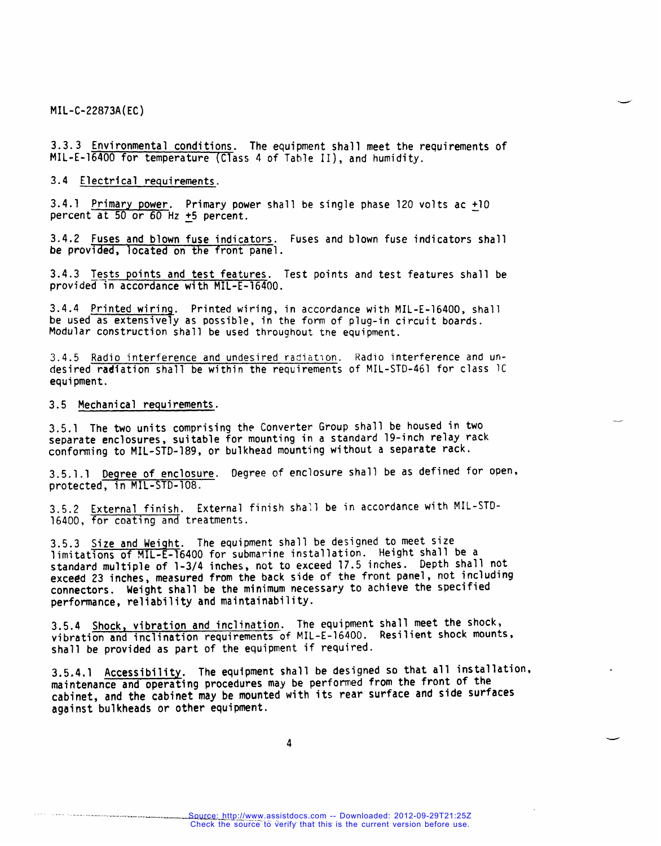**3.3.3 Environmental conditions. The equipment shall meet the requirements of MIL-E-16400 for temperature (Class 4 of Table II), and humidity.**

**3.4 Electrical requirements.**

**3.4.1 Primary power. Primary power shall be single phase 120 volts ac ~10 percent at 50 or 60 Hz 25 percent.**

**3.4.2 Fuses and blown fuse indicators. Fuses and blown fuse indicators shall be provided, located on the front panel.**

**3.4.3 Tests points and test features. Test points and test features shall be providei% accordance with MIL-E-16400.**

**3.4.4 Printed wiring. Printed wiring, in accordance with MIL-E-16400, shall be used as extensively as possible, in the form of plug-in circuit boards. Modular construction shall be used throughout the equipment.**

**3.4.5 Radio interference and undesired radiation. Radio interference and undesired radiation shall be within the requirements of MIL-STD-461 for class lC equipment.**

**3.5 Mechanical requirements.**

**3.5.1 The two units comprising the Converter Group shall be housed in two separate enclosures, suitable for mounting in a standard 19-inch relay rack conforming to MIL-STD-189, or bulkhead mounting without a separate rack.**

**3.5.1.1 Degree of enclosure. Degree of enclosure shall be as defined for open, protected, in MIL-STD-108.**

-.

.

-

**3.5.2 External finish. External finish shall be in accordance with MIL-STD-16400, for coating and treatments.**

**3.5.3 Size and Weiqht. The equipment shall be designed to meet size limitations of MIL-E-16400 for submarine installation. Height shall be a standard multiple of 1-3/4 inches, not to exceed 17.5 inches. Depth shall not exceed 23 inches, measured from the back side of the front panel, not including connectors. Weight shall be the minimum necessary to achieve the specified performance, reliability and maintainability.**

**3.5,4 Shock, vibration and inclinationfi The equipment shall meet the shock, vibration and inclination requirements of MIL-E-16400. Resilient shock mountss shall be provided as part of the equipment if required.**

**3.5.4.1 Accessibility. The equipment shall be designed so that all installation, maintenance and operating procedures may be performed from the front of the cabinet, and the cabinet may be mounted with its rear surface and side surfaces against bulkheads or other equipment.**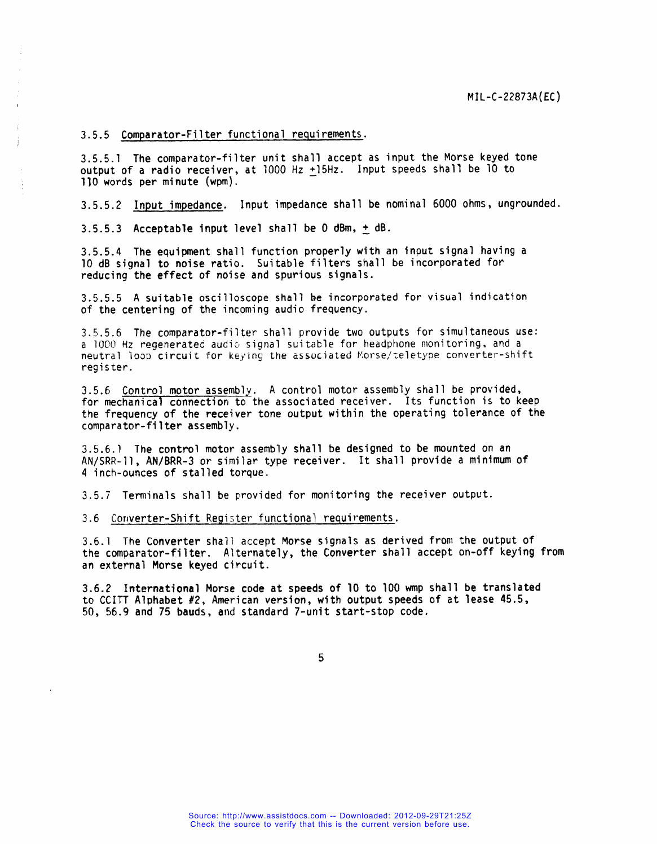**3.5.5 Comparator-Filter functional requirements.**

**3.5.5.1 The comparator-filter unit shall accept as input the Morse keyed tone output of a radio receiver, at 7000 Hz 315Hz. Input speeds shall be 10 to 110 words per minute (wpm).**

**3.5.5.2 Input impedance. Input impedance shall be nominal 6000 ohms, ungrounded.**

**3.5.5.3 Acceptable input level shall be O dBm, ~dB.**

**3.5.5.4 The equipment shall function properly with an input signal having a 10 dB signal to noise ratio. Suitable filters shall be incorporated for reducing the effect of noise and spurious signals.**

**3.5.5.5 A suitable oscilloscope shall be incorporated for visual indication of the centering of the incoming audio frequency.**

**3.5.5.6 The comparator-filter shall provide two outputs for SifWlttIf'EOUS uSe: a 1000 HZ regeneratetiau~ia signal suitable for headphone monitoring, and a neutral** loop circuit for keying the associated Morse/teletype converter-shift **register.**

**3.5.6 Control motor assemblv. A control motor assembly shall be provided, for mechanical connection to the associated receiver. Its function is to keep the frequency of the receiver tone output within the operating tolerance of the comparator-filter assembly.**

**3.5.6.1 The control motor assembly shall be designed to be mounted on an AN/SRR-11, AN/BRR-3 or similar type receiver. It shall provide a minimum of 4 inch-ounces of stalled torque.**

**3.5.7 Terminals shall be provided for monitoring the receiver output.**

**3.6 Corlverter-ShiftRegister functions] requirements.**

**3.6.1 The Converter shall accept Morse signals as derived from the output of the comparator-filter. Alternately, the Converter shall accept on-off keying from an external Morse keyed circuit.**

**3.6.2 International Morse code at speeds of 10 to 100 wmp shall be translated to CCITT Alphabet #2, American version, with output speeds of at lease 45.5, 50, 56.9 and 75 bauds, and standard 7-unit start-stop code.**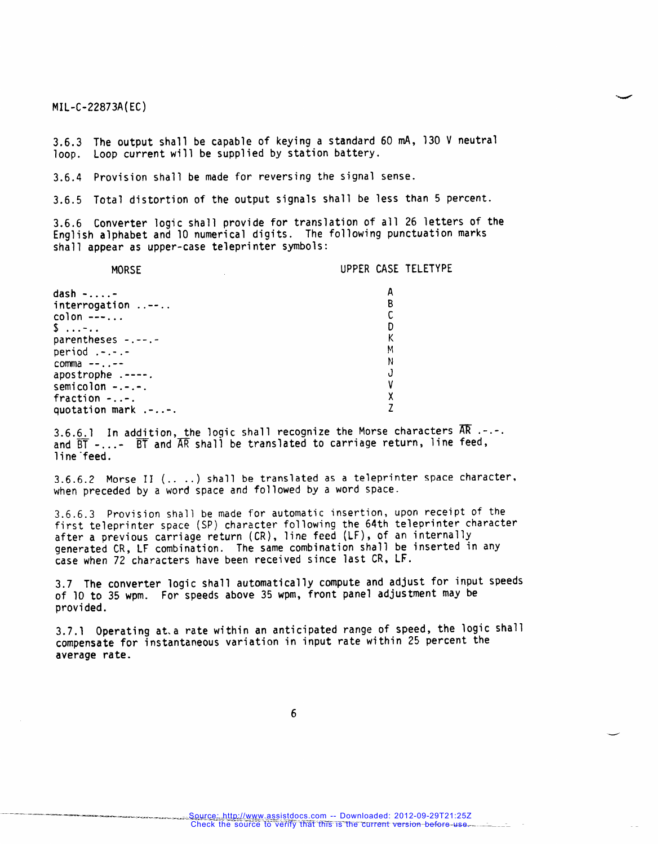**3.6.3 The output shall be capable of keying a standard 60 mA, 130 V neutral loop. Loop current will be supplied by station battery.**

**3.6.4 Provision shall be made for reversing the signal sense.**

**3.6.5 Total distortion of the output signals shall be less than 5 percent.**

**3.6.6 Converter logic shall provide for translation of all 26 letters of the English alphabet and 10 numerical digits. The following punctuation marks shall appear as upper-case teleprinter symbols:**

| <b>MORSE</b>          | UPPER CASE TELETYPE |
|-----------------------|---------------------|
| $dash \ldots$         |                     |
| $interrogation$       |                     |
| $color ---.$          |                     |
| $\ddot{\mathsf{S}}$ - |                     |
| parentheses -.--.-    |                     |
| period $. - . - . -$  | М                   |
| comma $-- \cdot --$   | N                   |
| apostrophe .----.     |                     |
| semicolon $-:-:-$ .   |                     |
| fraction $-.-.$       |                     |
| quotation mark .--.   |                     |

**3.6.6.1 In addition, the logic shall recognize the Morse characters ~ ---- and ~-...- ~and ~shall be translated to carriage return, line feed, line-feed.**

**3.6.6.2 Morse II (.. ..) shall be translated as a teleprinter space character, when preceded by** *a* **word space and followed by a word space.**

**3.6.6.3 Provision shall be made for automatic insertion, upon receipt of the first teleprinter space (SP) character following the 64th teleprinter character after a previous carriage return (CR),** *line* **feed (LF), of an internally generated CR, LF combination. The same combination shall be inserted in any case when 72 characters have been received since last CR, LF.**

**3.7 The converter logic shall automatically compute and adjust for input speeds of 10 to 35 wpm. For speeds above 35 wpm, front panel adjustment may be provided.**

**3.7.1 Operating at.a rate within an anticipated range of speed, the logic shall compensate for instantaneous variation in input rate within 25 percent the average rate.**

**6**

-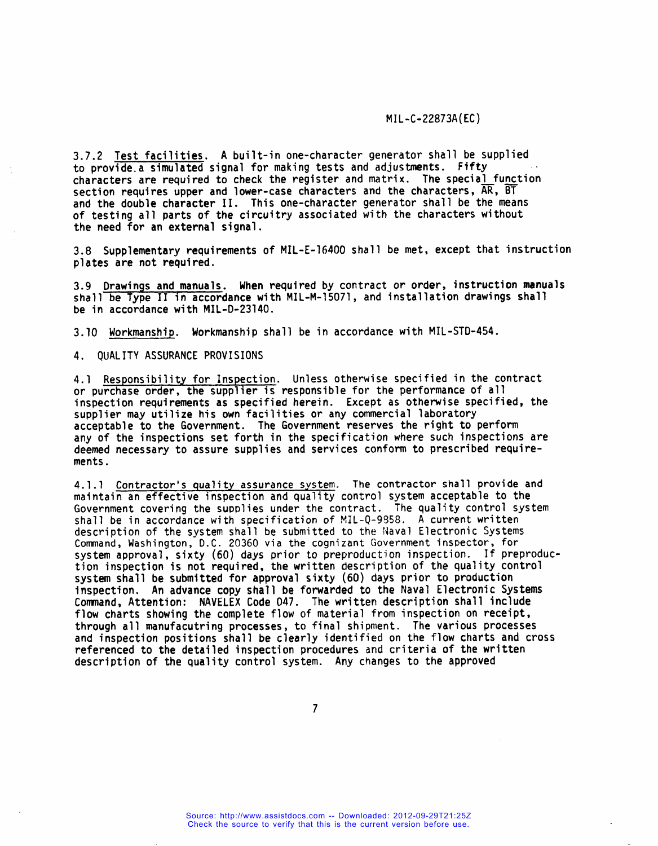**3.7.2 Test facilities, A built-in one-character generator shall be supplied to provide.a simulated signal for making tests and adjustments. Fifty I characters are required to check the register and matrix. The special function section requires** upper and **lower-case** characters and the characters,  $\overline{AR}$ ,  $\overline{BT}$ **and the double character** II. **This one-character generator shall be the means of testing all parts of the circuitry associated with the characters without the need for an external signal.**

**3.8 Supplementary requirements of MIL-E-16400 shall be met, except that instruction plates are not required.**

**3.9 Drawinqs and manuals. When required by contract or order, instruction manuals shall be Type II in accordance with MIL-M-15071, and installation drawings shall be in accordance with MIL-D-23140.**

**3.10 Workmanship. Workmanship shall be in accordance with MIL-STD-454.**

**4. QUALITY ASSURANCE PROVISIONS**

**4.1 Responsibility for Inspection. Unless otherwise specified in the contract or Purchase order, the supplier is responsible for the performance of all inspection requirements as specified herein. Except as otherwise specified, the supplier may utilize his own facilities or any commercial laboratory acceptable to the Government. The Government reserves the right to perform any of the inspections set forth in the specification where** such inspections **are deemed necessary to assure supplies and services conform to prescribed requirements.**

**4.1.1 Contractor's quality assurance system. The contractor shall provide and maintain an effective inspection and quality control system acceptable to the Government covering the supplies under the contract. The quality control system shall be in accordance with specification of !41L-Q-9!358.A current written description of the system shall be submitted to the fiavalElectronic Systems Command, Washington, D.C. 20360 via the cognizant Government inspector, for system approval, sixty (60) days prior to preproduction inspection. If preprociuction inspection is not required, the written description of the quality control system shall be submitted for approval sixty (60) days prior to production inspection. An advance copy shall be forwarded to the Naval Electronic Systems Command, Attention: NAVELEX Code 047. The written description shall include flow charts showing the complete flow of material from inspection on receipt, through all manufacutring processes, to final shipment. The various processes and inspection positions shall be clearly identified on the flow charts and cross referenced** *to* **the detailed inspection procedures and criteria of the written description of the quality control system. Any changes to the approved**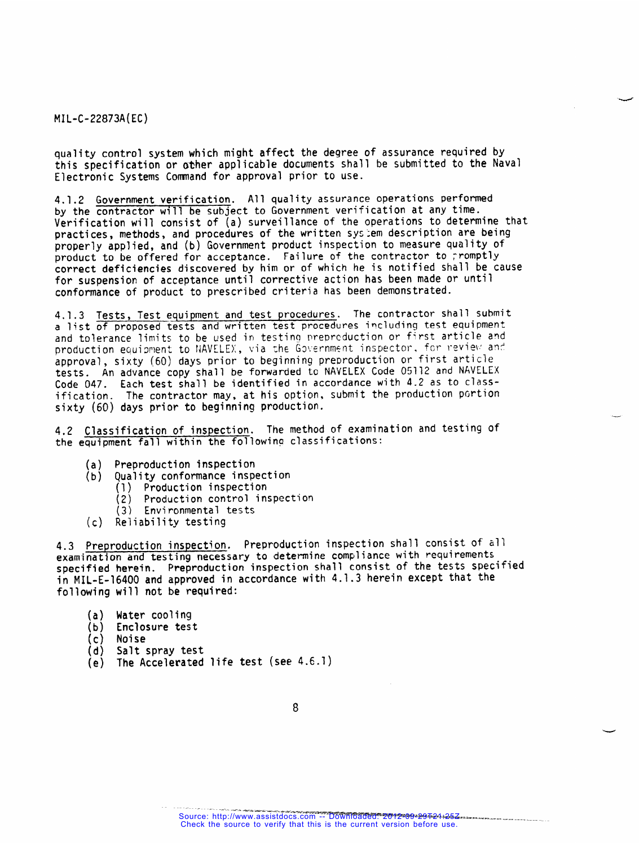**quality control system which might affect the degree of assurance required by this specification or other applicable documents shall be submitted to the Naval Electronic Systems Comnand for approval prior to use.**

**4.1.2 Government verification. All quality assurance operations performed by the contractor will be subject to Government verification at any time. Verification will consist of (a) surveillance of the operations to determine that practices, methods, and procedures of the written sysiem description are being properly applied, and (b) Government product inspection to measure quality of product to be offered for acceptance. Failure of the contractor to 7romPtly correct deficiencies discovered by him or of which he is notified shall be cause for suspension of acceptance until corrective action has been made or until conformance of product to prescribed criteria has been demonstrated.**

**4.1.3 Tests, Test equipment and test procedures. The contractor shall submit a list of proposed tests and written test Procedures includinq test equipment and tolerance limits to be used in testing' nreprcduction or first article and production equisment to !iAVELE}:,via ~h~ Guf:ernmsntinspector. fcr ]-sl~iei~a~~**  $approd,$  **sixty** (60) days prior to beginning preproduction or first article **tests. An advance copy shall be forwarded to NAVELEX Code 05112 and NAVELEX Code 047. Each test shall be identified in accordance with 4.2 as to classification. The contractor may, at his option, submit the production pcrtion sixty (60) days prior to beginning production.**

**4.2 Classification of inspection. The method of examination and testing of the equipment fall within the following classifications:**

—

- **(a) preproduction inspection**
	- **(b) Quality conformance inspection**
		- **(1) Production inspection**
			- **(2) Production control inspection**
		- **(3) Environmental tests**
- **(c) Reliability testing**

**4.3 Preproduction inspection. Preproduction inspection shall consist of all examination and testing necessary to determine compliance with requirements specified herein. Preproduction inspection shall consist of the tests specified in MIL-E-16400 and approved in accordance with 4.1.3 herein except that the following will not be required:**

- **(a) Water cooling**
- **(b) Enclosure test**
- 
- **(c) Noise (d) Salt spray test**
- **(e) The Accelerated life test (see 4.6.1)**

<sup>-...—.</sup>\_ - ——=. \_ .-—.B.W. ~.. —.-.-==— . . . . . . Source: http://www.assistdocs.com -- Downloaded: 2012-09-29T21:25Z Check the source to verify that this is the current version before use.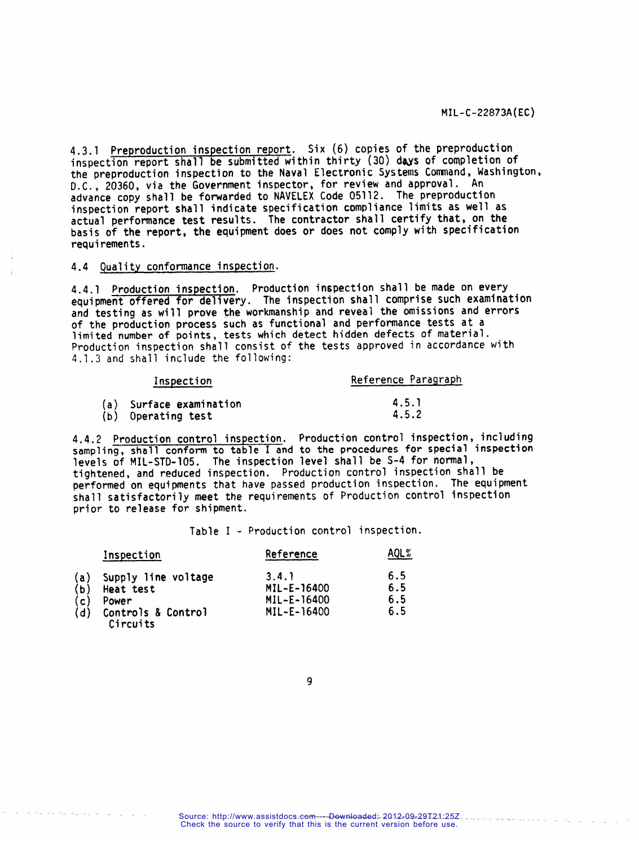**4.3.1 Preproduction inspection report. Six (6) copies of the preproduction** inspection report shall be submitted within thirty (30) days of completion of **the preproduction inspection to the Naval Electronic Systems Command, Washington, D.C., 20360, via the Government inspector, for review and approval. An advance copy shall be forwarded to NAVELEX Code 05112. The preproduction inspection report shall indicate specification compliance limits as well as actual performance test results. The contractor shall certify that, on the basis of the report, the equipment does or does not comply with specification requirements.**

### **4.4 Quality conformance inspection.**

**4.4.1 Production inspection. Production inspection shall be made on every equipment offered for dellvery. The inspection shall** comprise such examination **and testing as will prove the workmanship and reveal the omissions and errors of the production process such as functional and performance tests at a limited number of points, tests which detect hidden defects of material. Production inspection shall consist of the tests approved in accordance with 4.1.3 and shall include the following:**

| Inspection              | Reference Paragraph |  |  |
|-------------------------|---------------------|--|--|
| (a) Surface examination | 4.5.1               |  |  |
| (b) Operating test      | 4.5.2               |  |  |

**4.4.2 Production control inspection. Production control inspection, including sampling, shall conform to table I and to the procedures for special inspection levels of MIL-STD-105. The inspection level shall be S-4 for normal, tightened, and reduced inspection. Production control inspection shall be performed on equipments that have passed production inspection. The equipment shall satisfactorily meet the requirements of Production control inspection prior to release for shipment.**

**Table I - Production control inspection.**

|                                                  | Inspection                     | Reference   | AQL% |
|--------------------------------------------------|--------------------------------|-------------|------|
| $\begin{array}{c} (a) \\ (b) \\ (c) \end{array}$ | Supply line voltage            | 3.4.1       | 6.5  |
|                                                  | Heat test                      | MIL-E-16400 | 6.5  |
|                                                  | Power                          | MIL-E-16400 | 6.5  |
| (d)                                              | Controls & Control<br>Circuits | MIL-E-16400 | 6.5  |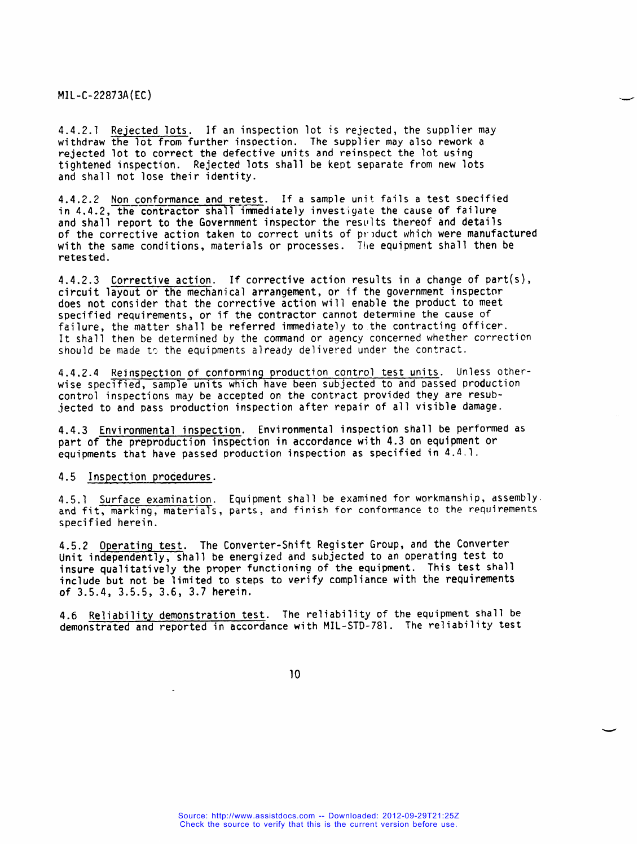**4.4.2.1 Rejected lots. If an inspection lot is rejected, the supplier may withdraw the lot from further inspection. The supplier may also rework a rejected lot to correct the defective units and reinspect the lot using tightened inspection. Rejected lots shall be kept separate from new lots and shall not lose their identity.**

**4.4.2.2 ——Non conformance —— and retest. If a sample unit.fails a test soecified in 4.4.2, the contractor shall immediately investigate the cause of failure and shall report to the Government inspector the resl'ltsthereof and details of the corrective action taken to correct units of pr]duct which were manufactured with the same conditions, materials or processes. Tl(eequipment shall then be retested.**

**4.4.2.3 Corrective action. If corrective action results in a change of part(s), circuit layout or the mechanical arrangement, or if the government inspector does not consider that the corrective action will enable the product to meet specified requirements, or if the contractor cannot determine the cause of failure, the matter shall be referred immediately to the contracting officer. It shall then be determined by the command or agency concerned whether correction should** be made to the equipments already delivered under the contract.

**4.4.2.4 Reinspection of conforming production control test units. Unless otherwise specified, sample units which have been subjected to and Passed production control inspections may be accepted on the contract provided they are resubjected to and pass production inspection after repair of all visible damage.**

**4.4.3 Environmental inspection. Environmental inspection shall be performed as part of the preproduction inspection in accordance with 4.3 on equipment or equipments that have passed production inspection as specified in 4.4.1.**

**4.5 Inspection procedures.**

**4.5.1 Surface examination. Equipment shall be examined for workmanship, assembly.**  $hat{fit}$ ,  $hat{materials}$ ,  $hat{s}$ ,  $hat{s}$ ,  $hat{s}$ ,  $hat{s}$ ,  $hat{s}$ ,  $hat{s}$ ,  $hat{s}$ ,  $hat{s}$ ,  $hat{s}$ ,  $hat{s}$ ,  $hat{s}$ ,  $hat{s}$ ,  $hat{s}$ ,  $hat{s}$ ,  $hat{s}$ ,  $hat{s}$ ,  $hat{s}$ ,  $hat{s}$ ,  $hat{s}$ ,  $hat{s}$ ,  $hat{s}$ ,  $hat{s}$ ,  $hat{s}$ ,  $hat{s}$ ,  $hat{s}$ ,  $hat{s}$ ,  $hat{s}$ ,  $hat{s}$ ,  $hat{s}$ , **specified herein.**

**4.5.2 Operating test. The Converter-Shift Register Group, and the Converter Unit independently, shall be energized and subjected to an operating test to insure qualitatively the proper functioning of the equipment. This test shall include but not be limited to steps to verify compliance with the requirements of 3.5.4, 3.5.5, 3.6, 3.7 herein.**

**4.6 Reliability demonstration test. The reliability of the equipment shall be demonstrated and reported in accordance with MIL-STD-781. The reliability test**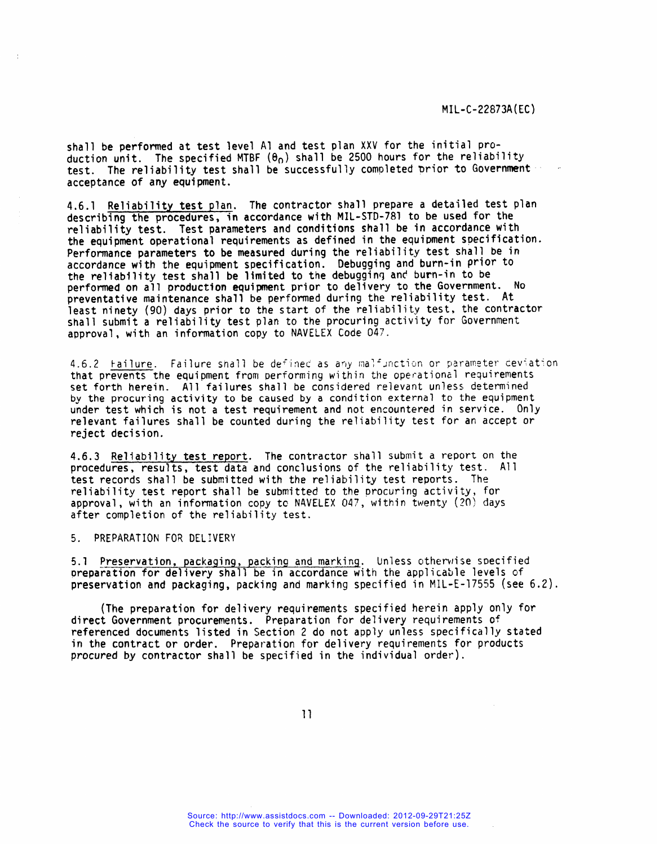**shall be performed at test level Al and test plan XXV for the initial production unit. The specified MTBF (8.) shall be 2500 hours for the reliability test. The reliability test shall be successfully completed ~rior to Government ~~ acceptance of artyequipment.**

**4.6.1 Reliability test plan. The contractor shall prepare a detailed test plan describing the procedures, in accordance with MIL-STD-781** to be used **for the reliability test. Test parameters and conditions shall be in accordance with**  $t$ he equipment operational requirements as defined in the equipment specification. **Performance parameters to be measured during the reliability test shall be in accordance with the equipment specification. Debugging and burn-in prior to the reliability test shall be limited to the debugginq ant burn-in to be performed on all production equipment prior to delivery to the Government. No preventative maintenance shall be performed during the reliability test. At least ninety (90) days prior to the start of the reliability test, the contractor shall submit a reliability test plan to the procuring activity for Government approval, with an information copy to NAVELEX Code 047.**

**4.6.2 Failure. Failure shall be de{inet as a-ivmalzJr!ctionor parameter ceviat:on that Prevents the equipment from performing within the operational requirements set forth herein. All failures shall be considered relevant unless determined by the procuring activity to be caused by a condition external to the equipment under test which is not a test requirement and not encountered in service. Only relevant failures shall be counted during the reliability test for an accept or reject decision.**

**4.6.3 Reliability test report. The contractor shall submit a report on the procedures, results, test data and conclusions of the reliability test. Al1 test records shall be submitted with the reliability test reports. The reliability test report shall be submitted to the procuring activity, for approval,** with an information copy to NAVELEX 047, within twenty (20) days **after completion of the reliability test.**

#### **5. PREPARATION FOR DELIVERY**

**5.1 Preservation, packaqing, packina and markinq\_. Unless cltherwises~ecified preparation for delivery shall be in accordance with the applicable levels of preservation and packaging, packing and marking specified in MIL-E-17555 (see 6.2).**

**(The preparation for delivery requirements specified herein apply only for direct Government procurements. Preparation for delivery requirements of referenced documents listed in Section 2 do not apply unless specifically stated in the contract or order. Preparation for delivery requirements for products procured by contractor shall be specified in the individual order).**